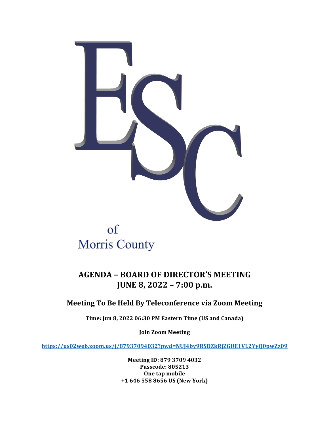

# **Morris County**

# **AGENDA – BOARD OF DIRECTOR'S MEETING JUNE 8, 2022 – 7:00 p.m.**

## **Meeting To Be Held By Teleconference via Zoom Meeting**

Time: Jun 8, 2022 06:30 PM Eastern Time (US and Canada)

**Join Zoom Meeting**

**https://us02web.zoom.us/j/87937094032?pwd=NUJ4by9RSDZkRjZGUE1VL2YyQ0pwZz09**

**Meeting ID: 879 3709 4032 Passcode: 805213 One tap mobile +1 646 558 8656 US (New York)**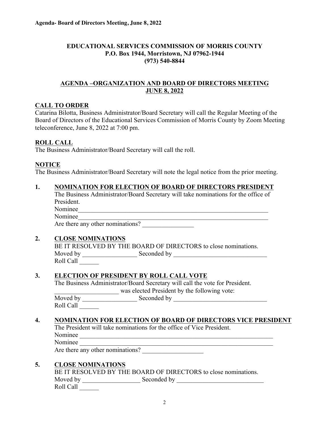#### **EDUCATIONAL SERVICES COMMISSION OF MORRIS COUNTY P.O. Box 1944, Morristown, NJ 07962-1944 (973) 540-8844**

#### **AGENDA –ORGANIZATION AND BOARD OF DIRECTORS MEETING JUNE 8, 2022**

#### **CALL TO ORDER**

Catarina Bilotta, Business Administrator/Board Secretary will call the Regular Meeting of the Board of Directors of the Educational Services Commission of Morris County by Zoom Meeting teleconference, June 8, 2022 at 7:00 pm.

#### **ROLL CALL**

The Business Administrator/Board Secretary will call the roll.

#### **NOTICE**

The Business Administrator/Board Secretary will note the legal notice from the prior meeting.

#### **1. NOMINATION FOR ELECTION OF BOARD OF DIRECTORS PRESIDENT**

The Business Administrator/Board Secretary will take nominations for the office of President. Nominee\_\_\_\_\_\_\_\_\_\_\_\_\_\_\_\_\_\_\_\_\_\_\_\_\_\_\_\_\_\_\_\_\_\_\_\_\_\_\_\_\_\_\_\_\_\_\_\_\_\_\_\_\_\_\_\_\_\_\_

Nominee

Are there any other nominations?

#### **2. CLOSE NOMINATIONS**

BE IT RESOLVED BY THE BOARD OF DIRECTORS to close nominations. Moved by \_\_\_\_\_\_\_\_\_\_\_\_\_\_\_\_\_ Seconded by \_\_\_\_\_\_\_\_\_\_\_\_\_\_\_\_\_\_\_\_\_\_\_\_\_\_\_\_\_ Roll Call \_\_\_\_\_\_

#### **3. ELECTION OF PRESIDENT BY ROLL CALL VOTE**

The Business Administrator/Board Secretary will call the vote for President.

was elected President by the following vote:

Moved by \_\_\_\_\_\_\_\_\_\_\_\_\_\_\_\_\_ Seconded by \_\_\_\_\_\_\_\_\_\_\_\_\_\_\_\_\_\_\_\_\_\_\_\_\_\_\_\_\_ Roll Call \_\_\_\_\_\_

#### **4. NOMINATION FOR ELECTION OF BOARD OF DIRECTORS VICE PRESIDENT**

The President will take nominations for the office of Vice President.

Nominee \_\_\_\_\_\_\_\_\_\_\_\_\_\_\_\_\_\_\_\_\_\_\_\_\_\_\_\_\_\_\_\_\_\_\_\_\_\_\_\_\_\_\_\_\_\_\_\_\_\_\_\_\_\_\_\_\_\_\_\_

Nominee \_\_\_\_\_\_\_\_\_\_\_\_\_\_\_\_\_\_\_\_\_\_\_\_\_\_\_\_\_\_\_\_\_\_\_\_\_\_\_\_\_\_\_\_\_\_\_\_\_\_\_\_\_\_\_\_\_\_\_\_

Are there any other nominations?

#### **5. CLOSE NOMINATIONS**

|           | BE IT RESOLVED BY THE BOARD OF DIRECTORS to close nominations. |  |
|-----------|----------------------------------------------------------------|--|
| Moved by  | Seconded by                                                    |  |
| Roll Call |                                                                |  |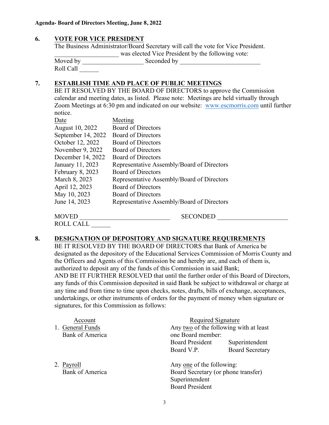#### **6. VOTE FOR VICE PRESIDENT**

The Business Administrator/Board Secretary will call the vote for Vice President. \_\_\_\_\_\_\_\_\_\_\_\_\_\_\_\_\_\_\_\_ was elected Vice President by the following vote: Moved by \_\_\_\_\_\_\_\_\_\_\_\_\_\_\_\_\_\_\_ Seconded by \_\_\_\_\_\_\_\_\_\_\_\_\_\_\_\_\_\_\_\_\_\_\_\_\_ Roll Call \_\_\_\_\_\_

#### **7. ESTABLISH TIME AND PLACE OF PUBLIC MEETINGS**

BE IT RESOLVED BY THE BOARD OF DIRECTORS to approve the Commission calendar and meeting dates, as listed. Please note: Meetings are held virtually through Zoom Meetings at 6:30 pm and indicated on our website: www.escmorris.com until further notice.

| Date               | Meeting                                    |
|--------------------|--------------------------------------------|
| August 10, 2022    | <b>Board of Directors</b>                  |
| September 14, 2022 | <b>Board of Directors</b>                  |
| October 12, 2022   | <b>Board of Directors</b>                  |
| November 9, 2022   | <b>Board of Directors</b>                  |
| December 14, 2022  | <b>Board of Directors</b>                  |
| January 11, 2023   | Representative Assembly/Board of Directors |
| February 8, 2023   | <b>Board of Directors</b>                  |
| March 8, 2023      | Representative Assembly/Board of Directors |
| April 12, 2023     | <b>Board of Directors</b>                  |
| May 10, 2023       | <b>Board of Directors</b>                  |
| June 14, 2023      | Representative Assembly/Board of Directors |
| <b>MOVED</b>       | <b>SECONDED</b>                            |

ROLL CALL \_\_\_\_\_\_

signatures, for this Commission as follows:

#### **8. DESIGNATION OF DEPOSITORY AND SIGNATURE REQUIREMENTS**

BE IT RESOLVED BY THE BOARD OF DIRECTORS that Bank of America be designated as the depository of the Educational Services Commission of Morris County and the Officers and Agents of this Commission be and hereby are, and each of them is, authorized to deposit any of the funds of this Commission in said Bank; AND BE IT FURTHER RESOLVED that until the further order of this Board of Directors, any funds of this Commission deposited in said Bank be subject to withdrawal or charge at any time and from time to time upon checks, notes, drafts, bills of exchange, acceptances, undertakings, or other instruments of orders for the payment of money when signature or

| Account<br>1. General Funds<br><b>Bank of America</b> | Required Signature<br>Any two of the following with at least<br>one Board member:                            |                        |
|-------------------------------------------------------|--------------------------------------------------------------------------------------------------------------|------------------------|
|                                                       | <b>Board President</b>                                                                                       | Superintendent         |
|                                                       | Board V.P.                                                                                                   | <b>Board Secretary</b> |
| 2. Payroll<br>Bank of America                         | Any one of the following:<br>Board Secretary (or phone transfer)<br>Superintendent<br><b>Board President</b> |                        |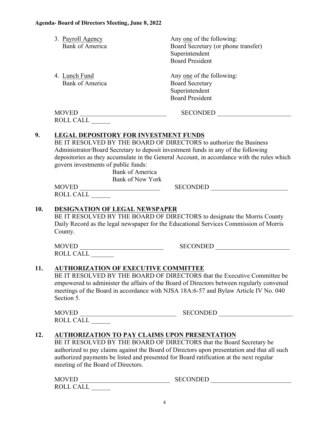|     | 3. Payroll Agency<br><b>Bank of America</b>                                                                                                                                                                                                                                                                               | Any one of the following:<br>Board Secretary (or phone transfer)<br>Superintendent<br><b>Board President</b>                                                                                                                                                |
|-----|---------------------------------------------------------------------------------------------------------------------------------------------------------------------------------------------------------------------------------------------------------------------------------------------------------------------------|-------------------------------------------------------------------------------------------------------------------------------------------------------------------------------------------------------------------------------------------------------------|
|     | 4. Lunch Fund<br><b>Bank of America</b>                                                                                                                                                                                                                                                                                   | Any one of the following:<br><b>Board Secretary</b><br>Superintendent<br><b>Board President</b>                                                                                                                                                             |
|     | MOVED<br>ROLL CALL                                                                                                                                                                                                                                                                                                        | SECONDED                                                                                                                                                                                                                                                    |
| 9.  | <b>LEGAL DEPOSITORY FOR INVESTMENT FUNDS</b><br>BE IT RESOLVED BY THE BOARD OF DIRECTORS to authorize the Business<br>Administrator/Board Secretary to deposit investment funds in any of the following<br>govern investments of public funds:<br><b>Bank of America</b><br><b>Bank of New York</b><br>MOVED<br>ROLL CALL | depositories as they accumulate in the General Account, in accordance with the rules which<br>SECONDED                                                                                                                                                      |
|     |                                                                                                                                                                                                                                                                                                                           |                                                                                                                                                                                                                                                             |
| 10. | <b>DESIGNATION OF LEGAL NEWSPAPER</b><br>County.                                                                                                                                                                                                                                                                          | BE IT RESOLVED BY THE BOARD OF DIRECTORS to designate the Morris County<br>Daily Record as the legal newspaper for the Educational Services Commission of Morris                                                                                            |
|     | ROLL CALL                                                                                                                                                                                                                                                                                                                 | SECONDED                                                                                                                                                                                                                                                    |
| 11. | <b>AUTHORIZATION OF EXECUTIVE COMMITTEE</b><br>Section 5.                                                                                                                                                                                                                                                                 | BE IT RESOLVED BY THE BOARD OF DIRECTORS that the Executive Committee be<br>empowered to administer the affairs of the Board of Directors between regularly convened<br>meetings of the Board in accordance with NJSA 18A:6-57 and Bylaw Article IV No. 040 |
|     |                                                                                                                                                                                                                                                                                                                           |                                                                                                                                                                                                                                                             |
| 12. | <b>AUTHORIZATION TO PAY CLAIMS UPON PRESENTATION</b><br>BE IT RESOLVED BY THE BOARD OF DIRECTORS that the Board Secretary be<br>authorized payments be listed and presented for Board ratification at the next regular<br>meeting of the Board of Directors.                                                              | authorized to pay claims against the Board of Directors upon presentation and that all such                                                                                                                                                                 |
|     | ROLL CALL                                                                                                                                                                                                                                                                                                                 |                                                                                                                                                                                                                                                             |
|     |                                                                                                                                                                                                                                                                                                                           |                                                                                                                                                                                                                                                             |

4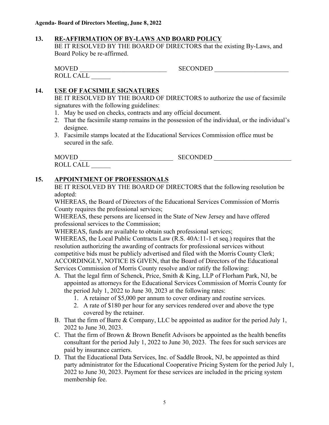#### **13. RE-AFFIRMATION OF BY-LAWS AND BOARD POLICY**

BE IT RESOLVED BY THE BOARD OF DIRECTORS that the existing By-Laws, and Board Policy be re-affirmed.

| <b>MOVED</b>     |     | <b>SECONDED</b> |  |
|------------------|-----|-----------------|--|
| <b>ROLL CALI</b> | ⊥∟∟ |                 |  |

#### **14. USE OF FACSIMILE SIGNATURES**

BE IT RESOLVED BY THE BOARD OF DIRECTORS to authorize the use of facsimile signatures with the following guidelines:

- 1. May be used on checks, contracts and any official document.
- 2. That the facsimile stamp remains in the possession of the individual, or the individual's designee.
- 3. Facsimile stamps located at the Educational Services Commission office must be secured in the safe.

| <b>MOVED</b>     | <b>SECONDED</b> |
|------------------|-----------------|
| <b>ROLL CALL</b> |                 |

#### **15. APPOINTMENT OF PROFESSIONALS**

BE IT RESOLVED BY THE BOARD OF DIRECTORS that the following resolution be adopted:

WHEREAS, the Board of Directors of the Educational Services Commission of Morris County requires the professional services;

WHEREAS, these persons are licensed in the State of New Jersey and have offered professional services to the Commission;

WHEREAS, funds are available to obtain such professional services;

WHEREAS, the Local Public Contracts Law (R.S. 40A:11-1 et seq.) requires that the resolution authorizing the awarding of contracts for professional services without competitive bids must be publicly advertised and filed with the Morris County Clerk; ACCORDINGLY, NOTICE IS GIVEN, that the Board of Directors of the Educational Services Commission of Morris County resolve and/or ratify the following:

- A. That the legal firm of Schenck, Price, Smith & King, LLP of Florham Park, NJ, be appointed as attorneys for the Educational Services Commission of Morris County for the period July 1, 2022 to June 30, 2023 at the following rates:
	- 1. A retainer of \$5,000 per annum to cover ordinary and routine services.
	- 2. A rate of \$180 per hour for any services rendered over and above the type covered by the retainer.
- B. That the firm of Barre & Company, LLC be appointed as auditor for the period July 1, 2022 to June 30, 2023.
- C. That the firm of Brown & Brown Benefit Advisors be appointed as the health benefits consultant for the period July 1, 2022 to June 30, 2023. The fees for such services are paid by insurance carriers.
- D. That the Educational Data Services, Inc. of Saddle Brook, NJ, be appointed as third party administrator for the Educational Cooperative Pricing System for the period July 1, 2022 to June 30, 2023. Payment for these services are included in the pricing system membership fee.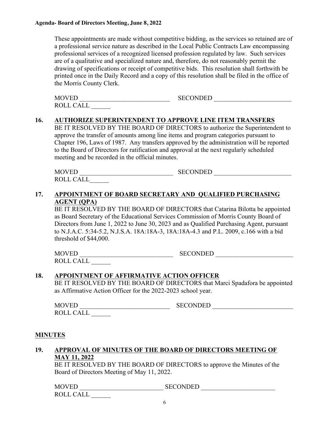These appointments are made without competitive bidding, as the services so retained are of a professional service nature as described in the Local Public Contracts Law encompassing professional services of a recognized licensed profession regulated by law. Such services are of a qualitative and specialized nature and, therefore, do not reasonably permit the drawing of specifications or receipt of competitive bids. This resolution shall forthwith be printed once in the Daily Record and a copy of this resolution shall be filed in the office of the Morris County Clerk.

| MOVED            | <b>SECONDED</b> |  |
|------------------|-----------------|--|
| <b>ROLL CALL</b> |                 |  |

#### **16. AUTHORIZE SUPERINTENDENT TO APPROVE LINE ITEM TRANSFERS**

BE IT RESOLVED BY THE BOARD OF DIRECTORS to authorize the Superintendent to approve the transfer of amounts among line items and program categories pursuant to Chapter 196, Laws of 1987. Any transfers approved by the administration will be reported to the Board of Directors for ratification and approval at the next regularly scheduled meeting and be recorded in the official minutes.

| <b>MOVED</b>          | <b>SECONDED</b> |  |
|-----------------------|-----------------|--|
| $CAI+$<br><b>ROLI</b> |                 |  |

#### **17. APPOINTMENT OF BOARD SECRETARY AND QUALIFIED PURCHASING AGENT (QPA)**

BE IT RESOLVED BY THE BOARD OF DIRECTORS that Catarina Bilotta be appointed as Board Secretary of the Educational Services Commission of Morris County Board of Directors from June 1, 2022 to June 30, 2023 and as Qualified Purchasing Agent, pursuant to N.J.A.C. 5:34-5.2, N.J.S.A. 18A:18A-3, 18A:18A-4.3 and P.L. 2009, c.166 with a bid threshold of \$44,000.

MOVED EXECONDED EXECONDED ROLL CALL \_\_\_\_\_\_

#### **18. APPOINTMENT OF AFFIRMATIVE ACTION OFFICER**

BE IT RESOLVED BY THE BOARD OF DIRECTORS that Marci Spadafora be appointed as Affirmative Action Officer for the 2022-2023 school year.

MOVED EXECONDED EXECONDED ROLL CALL \_\_\_\_\_\_

#### **MINUTES**

#### **19. APPROVAL OF MINUTES OF THE BOARD OF DIRECTORS MEETING OF MAY 11, 2022**

BE IT RESOLVED BY THE BOARD OF DIRECTORS to approve the Minutes of the Board of Directors Meeting of May 11, 2022.

MOVED \_\_\_\_\_\_\_\_\_\_\_\_\_\_\_\_\_\_\_\_\_\_\_\_\_\_ SECONDED \_\_\_\_\_\_\_\_\_\_\_\_\_\_\_\_\_\_\_\_\_\_\_ ROLL CALL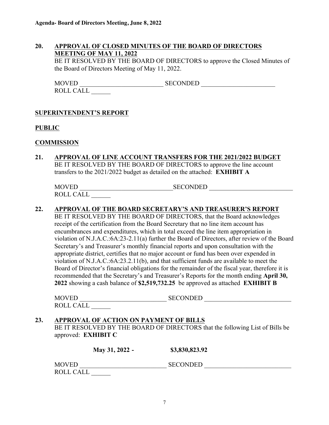#### **20. APPROVAL OF CLOSED MINUTES OF THE BOARD OF DIRECTORS MEETING OF MAY 11, 2022**

BE IT RESOLVED BY THE BOARD OF DIRECTORS to approve the Closed Minutes of the Board of Directors Meeting of May 11, 2022.

MOVED SECONDED SECONDED ROLL CALL \_\_\_\_\_\_

#### **SUPERINTENDENT'S REPORT**

#### **PUBLIC**

#### **COMMISSION**

**21. APPROVAL OF LINE ACCOUNT TRANSFERS FOR THE 2021/2022 BUDGET** BE IT RESOLVED BY THE BOARD OF DIRECTORS to approve the line account transfers to the 2021/2022 budget as detailed on the attached: **EXHIBIT A**

| <b>MOVED</b>     | SECONDED |
|------------------|----------|
| <b>ROLL CALI</b> |          |

#### **22. APPROVAL OF THE BOARD SECRETARY'S AND TREASURER'S REPORT**

BE IT RESOLVED BY THE BOARD OF DIRECTORS, that the Board acknowledges receipt of the certification from the Board Secretary that no line item account has encumbrances and expenditures, which in total exceed the line item appropriation in violation of N.J.A.C.:6A:23-2.11(a) further the Board of Directors, after review of the Board Secretary's and Treasurer's monthly financial reports and upon consultation with the appropriate district, certifies that no major account or fund has been over expended in violation of N.J.A.C.:6A:23.2.11(b), and that sufficient funds are available to meet the Board of Director's financial obligations for the remainder of the fiscal year, therefore it is recommended that the Secretary's and Treasurer's Reports for the month ending **April 30, 2022** showing a cash balance of **\$2,519,732.25** be approved as attached **EXHIBIT B**

| MOVED     | <b>SECONDED</b> |
|-----------|-----------------|
| ROLL CALL |                 |

#### **23. APPROVAL OF ACTION ON PAYMENT OF BILLS**

BE IT RESOLVED BY THE BOARD OF DIRECTORS that the following List of Bills be approved: **EXHIBIT C**

|              | May 31, 2022 - | \$3,830,823.92  |  |
|--------------|----------------|-----------------|--|
| <b>MOVED</b> |                | <b>SECONDED</b> |  |
| ROLL CALL    |                |                 |  |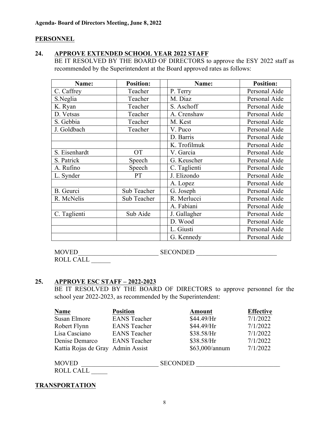#### **PERSONNEL**

#### **24. APPROVE EXTENDED SCHOOL YEAR 2022 STAFF**

BE IT RESOLVED BY THE BOARD OF DIRECTORS to approve the ESY 2022 staff as recommended by the Superintendent at the Board approved rates as follows:

| Name:            | <b>Position:</b> | Name:        | <b>Position:</b> |
|------------------|------------------|--------------|------------------|
| C. Caffrey       | Teacher          | P. Terry     | Personal Aide    |
| S.Neglia         | Teacher          | M. Diaz      | Personal Aide    |
| K. Ryan          | Teacher          | S. Aschoff   | Personal Aide    |
| D. Vetsas        | Teacher          | A. Crenshaw  | Personal Aide    |
| S. Gebbia        | Teacher          | M. Kest      | Personal Aide    |
| J. Goldbach      | Teacher          | V. Puco      | Personal Aide    |
|                  |                  | D. Barris    | Personal Aide    |
|                  |                  | K. Trofilmuk | Personal Aide    |
| S. Eisenhardt    | <b>OT</b>        | V. Garcia    | Personal Aide    |
| S. Patrick       | Speech           | G. Keuscher  | Personal Aide    |
| A. Rufino        | Speech           | C. Taglienti | Personal Aide    |
| L. Synder        | PT               | J. Elizondo  | Personal Aide    |
|                  |                  | A. Lopez     | Personal Aide    |
| <b>B.</b> Geurci | Sub Teacher      | G. Joseph    | Personal Aide    |
| R. McNelis       | Sub Teacher      | R. Merlucci  | Personal Aide    |
|                  |                  | A. Fabiani   | Personal Aide    |
| C. Taglienti     | Sub Aide         | J. Gallagher | Personal Aide    |
|                  |                  | D. Wood      | Personal Aide    |
|                  |                  | L. Giusti    | Personal Aide    |
|                  |                  | G. Kennedy   | Personal Aide    |

MOVED SECONDED SECONDED

ROLL CALL

#### **25. APPROVE ESC STAFF – 2022-2023**

BE IT RESOLVED BY THE BOARD OF DIRECTORS to approve personnel for the school year 2022-2023, as recommended by the Superintendent:

| <b>Name</b>                       | <b>Position</b>     |                 | Amount         | <b>Effective</b> |
|-----------------------------------|---------------------|-----------------|----------------|------------------|
| Susan Elmore                      | <b>EANS</b> Teacher |                 | \$44.49/Hr     | 7/1/2022         |
| Robert Flynn                      | <b>EANS</b> Teacher |                 | \$44.49/Hr     | 7/1/2022         |
| Lisa Casciano                     | <b>EANS</b> Teacher |                 | \$38.58/Hr     | 7/1/2022         |
| Denise Demarco                    | <b>EANS</b> Teacher |                 | \$38.58/Hr     | 7/1/2022         |
| Kattia Rojas de Gray Admin Assist |                     |                 | \$63,000/annum | 7/1/2022         |
| <b>MOVED</b>                      |                     | <b>SECONDED</b> |                |                  |

| <b>ROLL CALL</b> |  |
|------------------|--|
|                  |  |

**TRANSPORTATION**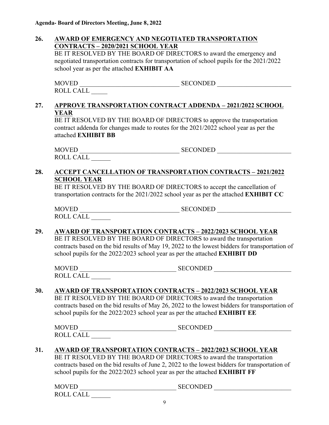#### **26. AWARD OF EMERGENCY AND NEGOTIATED TRANSPORTATION CONTRACTS – 2020/2021 SCHOOL YEAR**

BE IT RESOLVED BY THE BOARD OF DIRECTORS to award the emergency and negotiated transportation contracts for transportation of school pupils for the 2021/2022 school year as per the attached **EXHIBIT AA**

MOVED SECONDED EXAMPLE SECONDED ROLL CALL \_\_\_\_\_

#### **27. APPROVE TRANSPORTATION CONTRACT ADDENDA – 2021/2022 SCHOOL YEAR**

BE IT RESOLVED BY THE BOARD OF DIRECTORS to approve the transportation contract addenda for changes made to routes for the 2021/2022 school year as per the attached **EXHIBIT BB**

 $MOVED$   $\overline{SECONDED}$ ROLL CALL \_\_\_\_\_\_

#### **28. ACCEPT CANCELLATION OF TRANSPORTATION CONTRACTS – 2021/2022 SCHOOL YEAR**

BE IT RESOLVED BY THE BOARD OF DIRECTORS to accept the cancellation of transportation contracts for the 2021/2022 school year as per the attached **EXHIBIT CC**

| <b>MOVED</b>     | <b>SECONDED</b> |
|------------------|-----------------|
| <b>ROLL CALI</b> |                 |

#### **29. AWARD OF TRANSPORTATION CONTRACTS – 2022/2023 SCHOOL YEAR**

BE IT RESOLVED BY THE BOARD OF DIRECTORS to award the transportation contracts based on the bid results of May 19, 2022 to the lowest bidders for transportation of school pupils for the 2022/2023 school year as per the attached **EXHIBIT DD** 

MOVED \_\_\_\_\_\_\_\_\_\_\_\_\_\_\_\_\_\_\_\_\_\_\_\_\_\_\_\_\_\_ SECONDED \_\_\_\_\_\_\_\_\_\_\_\_\_\_\_\_\_\_\_\_\_\_\_\_ ROLL CALL \_\_\_\_\_\_

#### **30. AWARD OF TRANSPORTATION CONTRACTS – 2022/2023 SCHOOL YEAR**

BE IT RESOLVED BY THE BOARD OF DIRECTORS to award the transportation contracts based on the bid results of May 26, 2022 to the lowest bidders for transportation of school pupils for the 2022/2023 school year as per the attached **EXHIBIT EE** 

| <b>MOVED</b>     | <b>SECONDED</b> |
|------------------|-----------------|
| <b>ROLL CALL</b> |                 |

### **31. AWARD OF TRANSPORTATION CONTRACTS – 2022/2023 SCHOOL YEAR**

BE IT RESOLVED BY THE BOARD OF DIRECTORS to award the transportation contracts based on the bid results of June 2, 2022 to the lowest bidders for transportation of school pupils for the 2022/2023 school year as per the attached **EXHIBIT FF**

| <b>MOVED</b>     | SECONDED |
|------------------|----------|
| <b>ROLL CALI</b> |          |